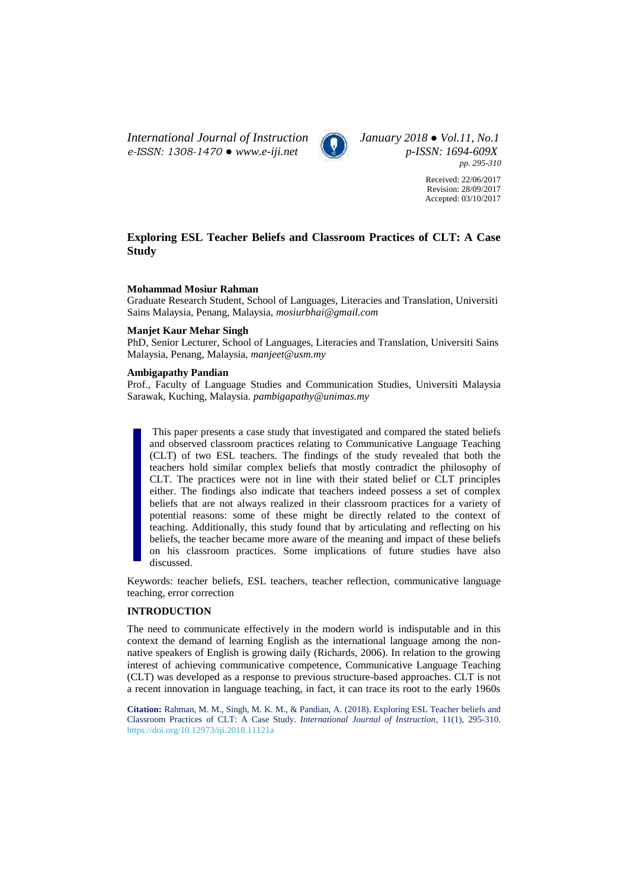*International Journal of Instruction January 2018 ● Vol.11, No.1 e-ISSN: 1308-1470 ● [www.e-iji.net](http://www.e-iji.net/) p-ISSN: 1694-609X*



*pp. 295-310*

Received: 22/06/2017 Revision: 28/09/2017 Accepted: 03/10/2017

# **Exploring ESL Teacher Beliefs and Classroom Practices of CLT: A Case Study**

### **Mohammad Mosiur Rahman**

Graduate Research Student, School of Languages, Literacies and Translation, Universiti Sains Malaysia, Penang, Malaysia, *[mosiurbhai@gmail.com](mailto:mosiurbhai@gmail.com)*

### **Manjet Kaur Mehar Singh**

PhD, Senior Lecturer, School of Languages, Literacies and Translation, Universiti Sains Malaysia, Penang, Malaysia, *[manjeet@usm.my](mailto:manjeet@usm.my)*

### **Ambigapathy Pandian**

Prof., Faculty of Language Studies and Communication Studies, Universiti Malaysia Sarawak, Kuching, Malaysia. *[pambigapathy@unimas.my](mailto:pambigapathy@unimas.my)*

This paper presents a case study that investigated and compared the stated beliefs and observed classroom practices relating to Communicative Language Teaching (CLT) of two ESL teachers. The findings of the study revealed that both the teachers hold similar complex beliefs that mostly contradict the philosophy of CLT. The practices were not in line with their stated belief or CLT principles either. The findings also indicate that teachers indeed possess a set of complex beliefs that are not always realized in their classroom practices for a variety of potential reasons: some of these might be directly related to the context of teaching. Additionally, this study found that by articulating and reflecting on his beliefs, the teacher became more aware of the meaning and impact of these beliefs on his classroom practices. Some implications of future studies have also discussed.

Keywords: teacher beliefs, ESL teachers, teacher reflection, communicative language teaching, error correction

# **INTRODUCTION**

The need to communicate effectively in the modern world is indisputable and in this context the demand of learning English as the international language among the nonnative speakers of English is growing daily (Richards, 2006). In relation to the growing interest of achieving communicative competence, Communicative Language Teaching (CLT) was developed as a response to previous structure-based approaches. CLT is not a recent innovation in language teaching, in fact, it can trace its root to the early 1960s

**Citation:** Rahman, M. M., Singh, M. K. M., & Pandian, A. (2018). Exploring ESL Teacher beliefs and Classroom Practices of CLT: A Case Study. *International Journal of Instruction*, 11(1), 295-310. <https://doi.org/10.12973/iji.2018.11121a>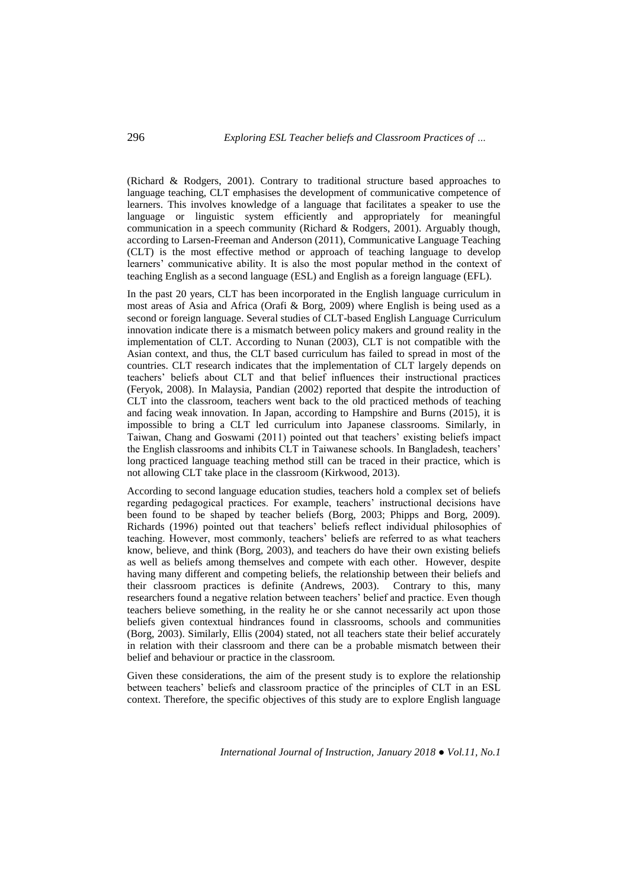(Richard & Rodgers, 2001). Contrary to traditional structure based approaches to language teaching, CLT emphasises the development of communicative competence of learners. This involves knowledge of a language that facilitates a speaker to use the language or linguistic system efficiently and appropriately for meaningful communication in a speech community (Richard & Rodgers, 2001). Arguably though, according to Larsen-Freeman and Anderson (2011), Communicative Language Teaching (CLT) is the most effective method or approach of teaching language to develop learners' communicative ability. It is also the most popular method in the context of teaching English as a second language (ESL) and English as a foreign language (EFL).

In the past 20 years, CLT has been incorporated in the English language curriculum in most areas of Asia and Africa (Orafi & Borg, 2009) where English is being used as a second or foreign language. Several studies of CLT-based English Language Curriculum innovation indicate there is a mismatch between policy makers and ground reality in the implementation of CLT. According to Nunan (2003), CLT is not compatible with the Asian context, and thus, the CLT based curriculum has failed to spread in most of the countries. CLT research indicates that the implementation of CLT largely depends on teachers' beliefs about CLT and that belief influences their instructional practices (Feryok, 2008). In Malaysia, Pandian (2002) reported that despite the introduction of CLT into the classroom, teachers went back to the old practiced methods of teaching and facing weak innovation. In Japan, according to Hampshire and Burns (2015), it is impossible to bring a CLT led curriculum into Japanese classrooms. Similarly, in Taiwan, Chang and Goswami (2011) pointed out that teachers' existing beliefs impact the English classrooms and inhibits CLT in Taiwanese schools. In Bangladesh, teachers' long practiced language teaching method still can be traced in their practice, which is not allowing CLT take place in the classroom (Kirkwood, 2013).

According to second language education studies, teachers hold a complex set of beliefs regarding pedagogical practices. For example, teachers' instructional decisions have been found to be shaped by teacher beliefs (Borg, 2003; Phipps and Borg, 2009). Richards (1996) pointed out that teachers' beliefs reflect individual philosophies of teaching. However, most commonly, teachers' beliefs are referred to as what teachers know, believe, and think (Borg, 2003), and teachers do have their own existing beliefs as well as beliefs among themselves and compete with each other. However, despite having many different and competing beliefs, the relationship between their beliefs and their classroom practices is definite (Andrews, 2003). Contrary to this, many researchers found a negative relation between teachers' belief and practice. Even though teachers believe something, in the reality he or she cannot necessarily act upon those beliefs given contextual hindrances found in classrooms, schools and communities (Borg, 2003). Similarly, Ellis (2004) stated, not all teachers state their belief accurately in relation with their classroom and there can be a probable mismatch between their belief and behaviour or practice in the classroom.

Given these considerations, the aim of the present study is to explore the relationship between teachers' beliefs and classroom practice of the principles of CLT in an ESL context. Therefore, the specific objectives of this study are to explore English language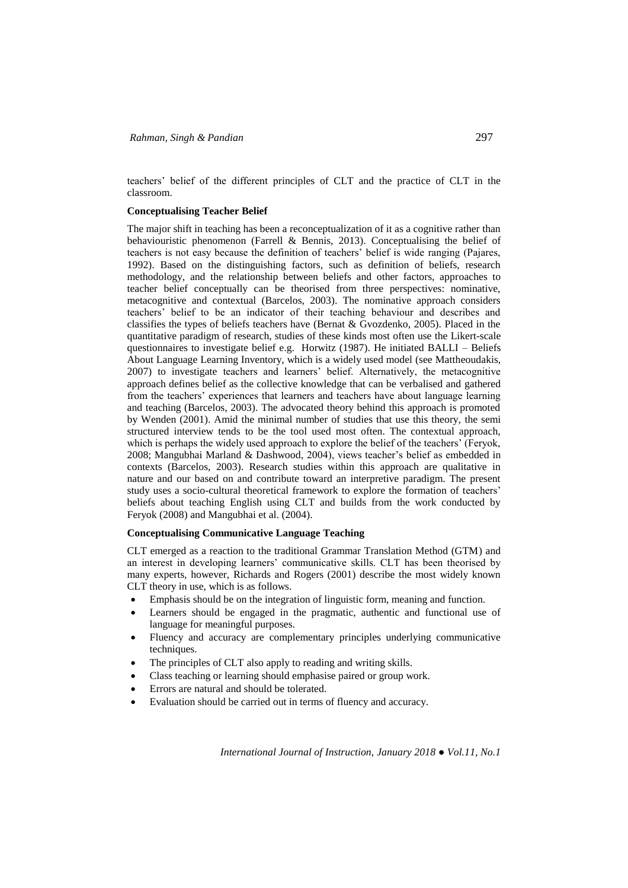teachers' belief of the different principles of CLT and the practice of CLT in the classroom.

# **Conceptualising Teacher Belief**

The major shift in teaching has been a reconceptualization of it as a cognitive rather than behaviouristic phenomenon (Farrell & Bennis, 2013). Conceptualising the belief of teachers is not easy because the definition of teachers' belief is wide ranging (Pajares, 1992). Based on the distinguishing factors, such as definition of beliefs, research methodology, and the relationship between beliefs and other factors, approaches to teacher belief conceptually can be theorised from three perspectives: nominative, metacognitive and contextual (Barcelos, 2003). The nominative approach considers teachers' belief to be an indicator of their teaching behaviour and describes and classifies the types of beliefs teachers have (Bernat & Gvozdenko, 2005). Placed in the quantitative paradigm of research, studies of these kinds most often use the Likert-scale questionnaires to investigate belief e.g. Horwitz (1987). He initiated BALLI – Beliefs About Language Learning Inventory, which is a widely used model (see Mattheoudakis, 2007) to investigate teachers and learners' belief. Alternatively, the metacognitive approach defines belief as the collective knowledge that can be verbalised and gathered from the teachers' experiences that learners and teachers have about language learning and teaching (Barcelos, 2003). The advocated theory behind this approach is promoted by Wenden (2001). Amid the minimal number of studies that use this theory, the semi structured interview tends to be the tool used most often. The contextual approach, which is perhaps the widely used approach to explore the belief of the teachers' (Feryok, 2008; Mangubhai Marland & Dashwood, 2004), views teacher's belief as embedded in contexts (Barcelos, 2003). Research studies within this approach are qualitative in nature and our based on and contribute toward an interpretive paradigm. The present study uses a socio-cultural theoretical framework to explore the formation of teachers' beliefs about teaching English using CLT and builds from the work conducted by Feryok (2008) and Mangubhai et al. (2004).

### **Conceptualising Communicative Language Teaching**

CLT emerged as a reaction to the traditional Grammar Translation Method (GTM) and an interest in developing learners' communicative skills. CLT has been theorised by many experts, however, Richards and Rogers (2001) describe the most widely known CLT theory in use, which is as follows.

- Emphasis should be on the integration of linguistic form, meaning and function.
- Learners should be engaged in the pragmatic, authentic and functional use of language for meaningful purposes.
- Fluency and accuracy are complementary principles underlying communicative techniques.
- The principles of CLT also apply to reading and writing skills.
- Class teaching or learning should emphasise paired or group work.
- Errors are natural and should be tolerated.
- Evaluation should be carried out in terms of fluency and accuracy.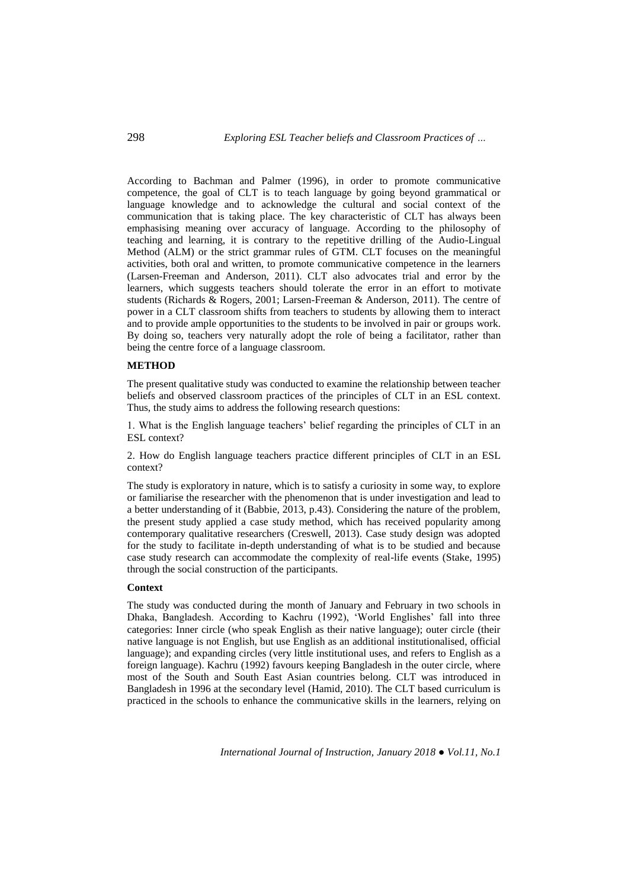According to Bachman and Palmer (1996), in order to promote communicative competence, the goal of CLT is to teach language by going beyond grammatical or language knowledge and to acknowledge the cultural and social context of the communication that is taking place. The key characteristic of CLT has always been emphasising meaning over accuracy of language. According to the philosophy of teaching and learning, it is contrary to the repetitive drilling of the Audio-Lingual Method (ALM) or the strict grammar rules of GTM. CLT focuses on the meaningful activities, both oral and written, to promote communicative competence in the learners (Larsen-Freeman and Anderson, 2011). CLT also advocates trial and error by the learners, which suggests teachers should tolerate the error in an effort to motivate students (Richards & Rogers, 2001; Larsen-Freeman & Anderson, 2011). The centre of power in a CLT classroom shifts from teachers to students by allowing them to interact and to provide ample opportunities to the students to be involved in pair or groups work. By doing so, teachers very naturally adopt the role of being a facilitator, rather than being the centre force of a language classroom.

# **METHOD**

The present qualitative study was conducted to examine the relationship between teacher beliefs and observed classroom practices of the principles of CLT in an ESL context. Thus, the study aims to address the following research questions:

1. What is the English language teachers' belief regarding the principles of CLT in an ESL context?

2. How do English language teachers practice different principles of CLT in an ESL context?

The study is exploratory in nature, which is to satisfy a curiosity in some way, to explore or familiarise the researcher with the phenomenon that is under investigation and lead to a better understanding of it (Babbie, 2013, p.43). Considering the nature of the problem, the present study applied a case study method, which has received popularity among contemporary qualitative researchers (Creswell, 2013). Case study design was adopted for the study to facilitate in-depth understanding of what is to be studied and because case study research can accommodate the complexity of real-life events (Stake, 1995) through the social construction of the participants.

### **Context**

The study was conducted during the month of January and February in two schools in Dhaka, Bangladesh. According to Kachru (1992), 'World Englishes' fall into three categories: Inner circle (who speak English as their native language); outer circle (their native language is not English, but use English as an additional institutionalised, official language); and expanding circles (very little institutional uses, and refers to English as a foreign language). Kachru (1992) favours keeping Bangladesh in the outer circle, where most of the South and South East Asian countries belong. CLT was introduced in Bangladesh in 1996 at the secondary level (Hamid, 2010). The CLT based curriculum is practiced in the schools to enhance the communicative skills in the learners, relying on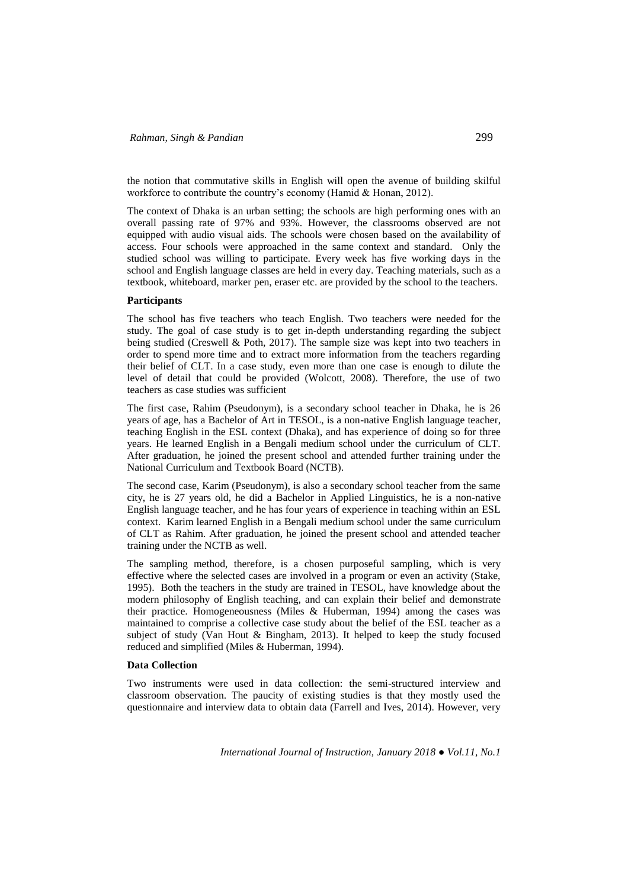the notion that commutative skills in English will open the avenue of building skilful workforce to contribute the country's economy (Hamid & Honan, 2012).

The context of Dhaka is an urban setting; the schools are high performing ones with an overall passing rate of 97% and 93%. However, the classrooms observed are not equipped with audio visual aids. The schools were chosen based on the availability of access. Four schools were approached in the same context and standard. Only the studied school was willing to participate. Every week has five working days in the school and English language classes are held in every day. Teaching materials, such as a textbook, whiteboard, marker pen, eraser etc. are provided by the school to the teachers.

#### **Participants**

The school has five teachers who teach English. Two teachers were needed for the study. The goal of case study is to get in-depth understanding regarding the subject being studied (Creswell & Poth, 2017). The sample size was kept into two teachers in order to spend more time and to extract more information from the teachers regarding their belief of CLT. In a case study, even more than one case is enough to dilute the level of detail that could be provided (Wolcott, 2008). Therefore, the use of two teachers as case studies was sufficient

The first case, Rahim (Pseudonym), is a secondary school teacher in Dhaka, he is 26 years of age, has a Bachelor of Art in TESOL, is a non-native English language teacher, teaching English in the ESL context (Dhaka), and has experience of doing so for three years. He learned English in a Bengali medium school under the curriculum of CLT. After graduation, he joined the present school and attended further training under the National Curriculum and Textbook Board (NCTB).

The second case, Karim (Pseudonym), is also a secondary school teacher from the same city, he is 27 years old, he did a Bachelor in Applied Linguistics, he is a non-native English language teacher, and he has four years of experience in teaching within an ESL context. Karim learned English in a Bengali medium school under the same curriculum of CLT as Rahim. After graduation, he joined the present school and attended teacher training under the NCTB as well.

The sampling method, therefore, is a chosen purposeful sampling, which is very effective where the selected cases are involved in a program or even an activity (Stake, 1995). Both the teachers in the study are trained in TESOL, have knowledge about the modern philosophy of English teaching, and can explain their belief and demonstrate their practice. Homogeneousness (Miles & Huberman, 1994) among the cases was maintained to comprise a collective case study about the belief of the ESL teacher as a subject of study (Van Hout & Bingham, 2013). It helped to keep the study focused reduced and simplified (Miles & Huberman, 1994).

### **Data Collection**

Two instruments were used in data collection: the semi-structured interview and classroom observation. The paucity of existing studies is that they mostly used the questionnaire and interview data to obtain data (Farrell and Ives, 2014). However, very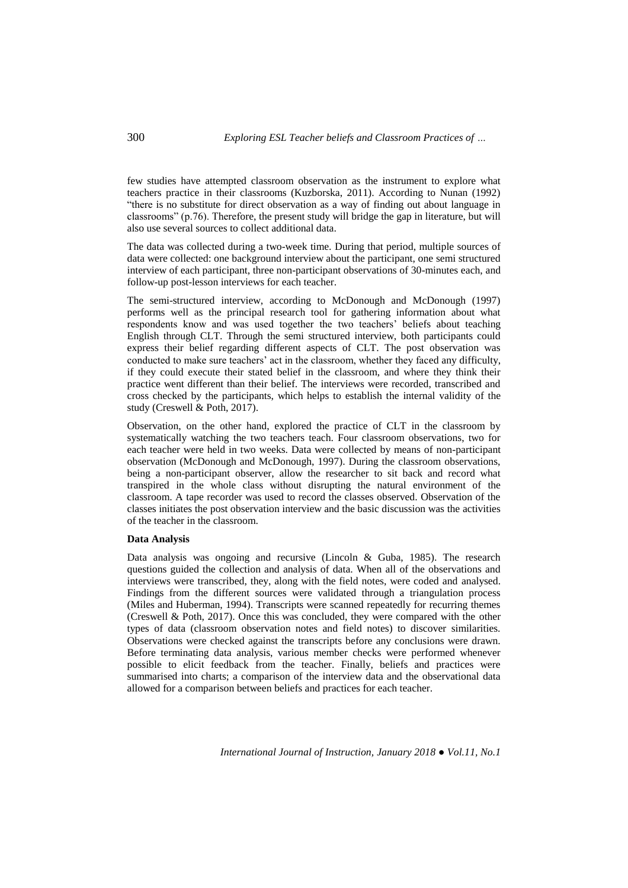few studies have attempted classroom observation as the instrument to explore what teachers practice in their classrooms (Kuzborska, 2011). According to Nunan (1992) "there is no substitute for direct observation as a way of finding out about language in classrooms" (p.76). Therefore, the present study will bridge the gap in literature, but will also use several sources to collect additional data.

The data was collected during a two-week time. During that period, multiple sources of data were collected: one background interview about the participant, one semi structured interview of each participant, three non-participant observations of 30-minutes each, and follow-up post-lesson interviews for each teacher.

The semi-structured interview, according to McDonough and McDonough (1997) performs well as the principal research tool for gathering information about what respondents know and was used together the two teachers' beliefs about teaching English through CLT. Through the semi structured interview, both participants could express their belief regarding different aspects of CLT. The post observation was conducted to make sure teachers' act in the classroom, whether they faced any difficulty, if they could execute their stated belief in the classroom, and where they think their practice went different than their belief. The interviews were recorded, transcribed and cross checked by the participants, which helps to establish the internal validity of the study (Creswell & Poth, 2017).

Observation, on the other hand, explored the practice of CLT in the classroom by systematically watching the two teachers teach. Four classroom observations, two for each teacher were held in two weeks. Data were collected by means of non-participant observation (McDonough and McDonough, 1997). During the classroom observations, being a non-participant observer, allow the researcher to sit back and record what transpired in the whole class without disrupting the natural environment of the classroom. A tape recorder was used to record the classes observed. Observation of the classes initiates the post observation interview and the basic discussion was the activities of the teacher in the classroom.

# **Data Analysis**

Data analysis was ongoing and recursive (Lincoln & Guba, 1985). The research questions guided the collection and analysis of data. When all of the observations and interviews were transcribed, they, along with the field notes, were coded and analysed. Findings from the different sources were validated through a triangulation process (Miles and Huberman, 1994). Transcripts were scanned repeatedly for recurring themes (Creswell & Poth, 2017). Once this was concluded, they were compared with the other types of data (classroom observation notes and field notes) to discover similarities. Observations were checked against the transcripts before any conclusions were drawn. Before terminating data analysis, various member checks were performed whenever possible to elicit feedback from the teacher. Finally, beliefs and practices were summarised into charts; a comparison of the interview data and the observational data allowed for a comparison between beliefs and practices for each teacher.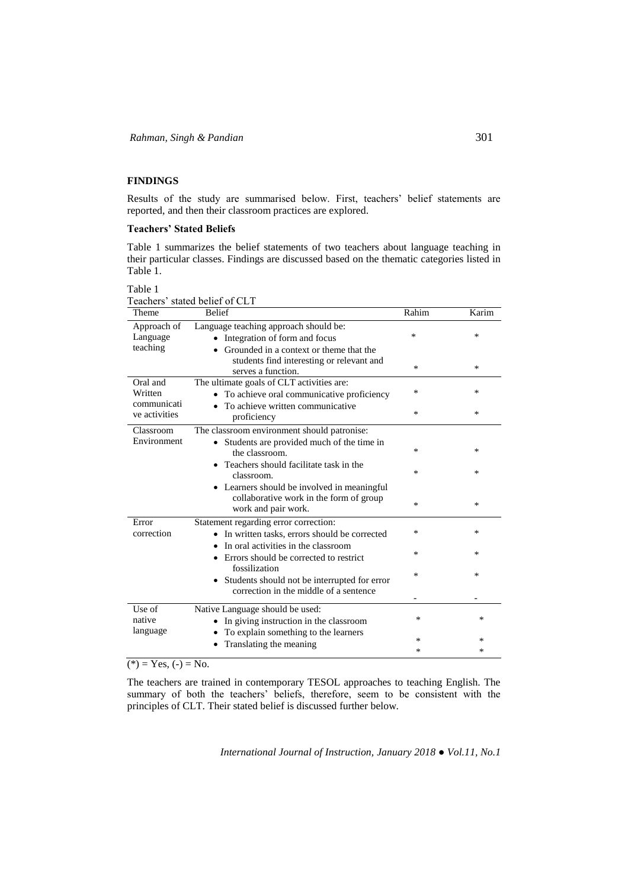### **FINDINGS**

Results of the study are summarised below. First, teachers' belief statements are reported, and then their classroom practices are explored.

# **Teachers' Stated Beliefs**

Table 1 summarizes the belief statements of two teachers about language teaching in their particular classes. Findings are discussed based on the thematic categories listed in Table 1.

|                                                     | Teachers' stated belief of CLT                                                                                      |        |        |
|-----------------------------------------------------|---------------------------------------------------------------------------------------------------------------------|--------|--------|
| Theme                                               | <b>Belief</b>                                                                                                       | Rahim  | Karim  |
| Approach of<br>Language<br>teaching                 | Language teaching approach should be:<br>• Integration of form and focus<br>Grounded in a context or theme that the | $\ast$ | *      |
|                                                     | students find interesting or relevant and<br>serves a function.                                                     | $\ast$ | $\ast$ |
| Oral and<br>Written<br>communicati<br>ve activities | The ultimate goals of CLT activities are:<br>To achieve oral communicative proficiency<br>$\bullet$                 | *      | *      |
|                                                     | To achieve written communicative<br>proficiency                                                                     | $\ast$ | $\ast$ |
| Classroom<br>Environment                            | The classroom environment should patronise:                                                                         |        |        |
|                                                     | • Students are provided much of the time in<br>the classroom.                                                       | $\ast$ | $\ast$ |
|                                                     | • Teachers should facilitate task in the<br>classroom.                                                              | *      | *      |
|                                                     | • Learners should be involved in meaningful<br>collaborative work in the form of group<br>work and pair work.       | *      | $\ast$ |
| Error<br>correction                                 | Statement regarding error correction:<br>• In written tasks, errors should be corrected                             | *      | ∗      |
|                                                     | In oral activities in the classroom<br>Errors should be corrected to restrict                                       | *      | ∗      |
|                                                     | fossilization<br>• Students should not be interrupted for error<br>correction in the middle of a sentence           | *      | $\ast$ |
|                                                     |                                                                                                                     |        |        |
| $\overline{Use}$ of                                 | Native Language should be used:                                                                                     | ∗      | *      |
| native                                              | • In giving instruction in the classroom                                                                            |        |        |
| language                                            | To explain something to the learners                                                                                | $\ast$ | *      |
|                                                     | Translating the meaning<br>$\bullet$                                                                                | $\ast$ | $\ast$ |

The teachers are trained in contemporary TESOL approaches to teaching English. The summary of both the teachers' beliefs, therefore, seem to be consistent with the principles of CLT. Their stated belief is discussed further below.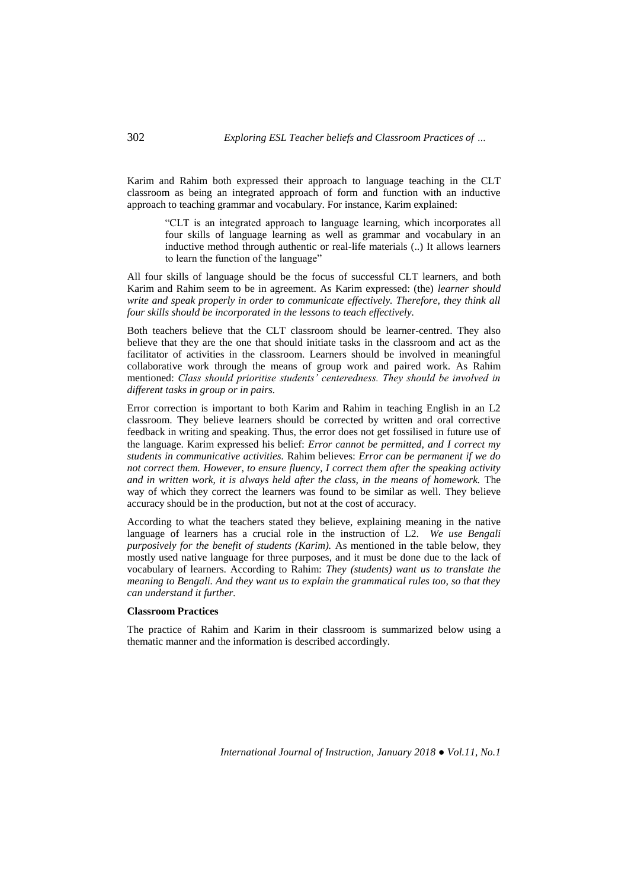Karim and Rahim both expressed their approach to language teaching in the CLT classroom as being an integrated approach of form and function with an inductive approach to teaching grammar and vocabulary. For instance, Karim explained:

"CLT is an integrated approach to language learning, which incorporates all four skills of language learning as well as grammar and vocabulary in an inductive method through authentic or real-life materials (..) It allows learners to learn the function of the language"

All four skills of language should be the focus of successful CLT learners, and both Karim and Rahim seem to be in agreement. As Karim expressed: (the) *learner should write and speak properly in order to communicate effectively. Therefore, they think all four skills should be incorporated in the lessons to teach effectively.*

Both teachers believe that the CLT classroom should be learner-centred. They also believe that they are the one that should initiate tasks in the classroom and act as the facilitator of activities in the classroom. Learners should be involved in meaningful collaborative work through the means of group work and paired work. As Rahim mentioned: *Class should prioritise students' centeredness. They should be involved in different tasks in group or in pairs.* 

Error correction is important to both Karim and Rahim in teaching English in an L2 classroom. They believe learners should be corrected by written and oral corrective feedback in writing and speaking. Thus, the error does not get fossilised in future use of the language. Karim expressed his belief: *Error cannot be permitted, and I correct my students in communicative activities.* Rahim believes: *Error can be permanent if we do not correct them. However, to ensure fluency, I correct them after the speaking activity and in written work, it is always held after the class, in the means of homework.* The way of which they correct the learners was found to be similar as well. They believe accuracy should be in the production, but not at the cost of accuracy.

According to what the teachers stated they believe, explaining meaning in the native language of learners has a crucial role in the instruction of L2. We use Bengali *purposively for the benefit of students (Karim)*. As mentioned in the table below, they mostly used native language for three purposes, and it must be done due to the lack of vocabulary of learners. According to Rahim: *They (students) want us to translate the meaning to Bengali. And they want us to explain the grammatical rules too, so that they can understand it further.* 

# **Classroom Practices**

The practice of Rahim and Karim in their classroom is summarized below using a thematic manner and the information is described accordingly.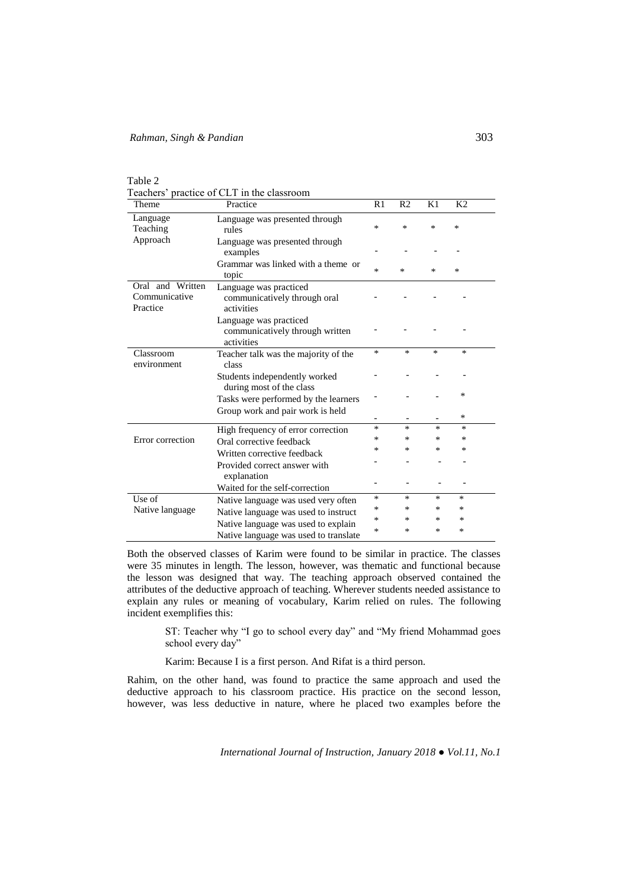Table 2

Teachers' practice of CLT in the classroom

| Theme                                         | Practice                                                                | R1 | R <sub>2</sub> | K1     | K <sub>2</sub> |  |
|-----------------------------------------------|-------------------------------------------------------------------------|----|----------------|--------|----------------|--|
| Language<br>Teaching<br>Approach              | Language was presented through<br>rules                                 | *  | *              | *      | *              |  |
|                                               | Language was presented through<br>examples                              |    |                |        |                |  |
|                                               | Grammar was linked with a theme or<br>topic                             | *  | $\ast$         | *      | $\ast$         |  |
| Oral and Written<br>Communicative<br>Practice | Language was practiced<br>communicatively through oral<br>activities    |    |                |        |                |  |
|                                               | Language was practiced<br>communicatively through written<br>activities |    |                |        |                |  |
| Classroom<br>environment                      | Teacher talk was the majority of the                                    | *  | $\ast$         | $\ast$ | $\ast$         |  |
|                                               | class<br>Students independently worked<br>during most of the class      |    |                |        |                |  |
|                                               | Tasks were performed by the learners                                    |    |                |        | *              |  |
|                                               | Group work and pair work is held                                        |    |                |        | *              |  |
|                                               | High frequency of error correction                                      | *  | $\ast$         | $\ast$ | *              |  |
| Error correction                              | Oral corrective feedback                                                | *  | *              | $\ast$ | *              |  |
|                                               | Written corrective feedback                                             | *  | *              | $\ast$ | *              |  |
|                                               | Provided correct answer with<br>explanation                             |    |                |        |                |  |
|                                               | Waited for the self-correction                                          |    |                |        |                |  |
| Use of                                        | Native language was used very often                                     | *  | $\ast$         | $\ast$ | *              |  |
| Native language                               | Native language was used to instruct                                    | *  | $\ast$         | $\ast$ | $\ast$         |  |
|                                               | Native language was used to explain                                     | *  | *              | $\ast$ | *              |  |
|                                               | Native language was used to translate                                   | *  | *              | $\ast$ | ∗              |  |

Both the observed classes of Karim were found to be similar in practice. The classes were 35 minutes in length. The lesson, however, was thematic and functional because the lesson was designed that way. The teaching approach observed contained the attributes of the deductive approach of teaching. Wherever students needed assistance to explain any rules or meaning of vocabulary, Karim relied on rules. The following incident exemplifies this:

> ST: Teacher why "I go to school every day" and "My friend Mohammad goes school every day"

Karim: Because I is a first person. And Rifat is a third person.

Rahim, on the other hand, was found to practice the same approach and used the deductive approach to his classroom practice. His practice on the second lesson, however, was less deductive in nature, where he placed two examples before the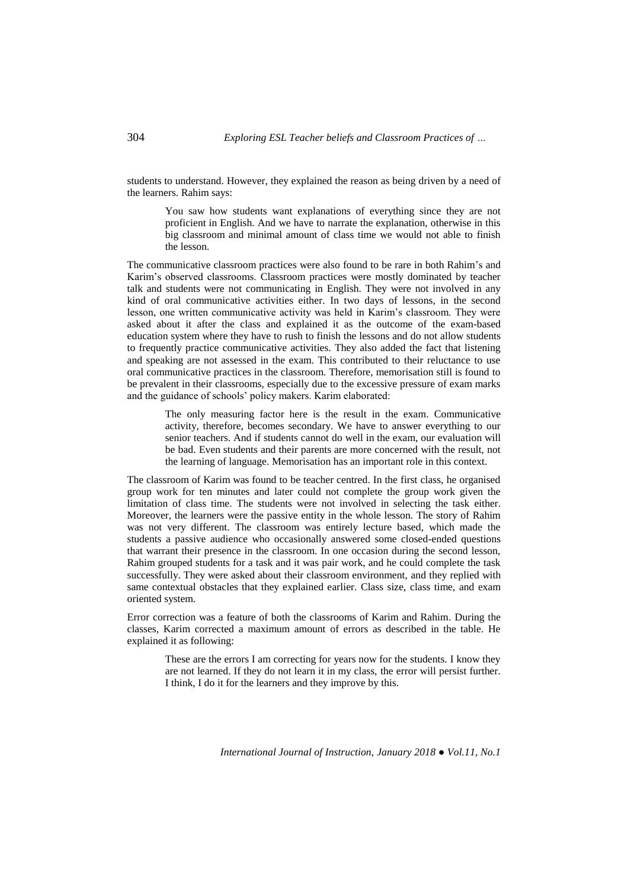students to understand. However, they explained the reason as being driven by a need of the learners. Rahim says:

> You saw how students want explanations of everything since they are not proficient in English. And we have to narrate the explanation, otherwise in this big classroom and minimal amount of class time we would not able to finish the lesson.

The communicative classroom practices were also found to be rare in both Rahim's and Karim's observed classrooms. Classroom practices were mostly dominated by teacher talk and students were not communicating in English. They were not involved in any kind of oral communicative activities either. In two days of lessons, in the second lesson, one written communicative activity was held in Karim's classroom. They were asked about it after the class and explained it as the outcome of the exam-based education system where they have to rush to finish the lessons and do not allow students to frequently practice communicative activities. They also added the fact that listening and speaking are not assessed in the exam. This contributed to their reluctance to use oral communicative practices in the classroom. Therefore, memorisation still is found to be prevalent in their classrooms, especially due to the excessive pressure of exam marks and the guidance of schools' policy makers. Karim elaborated:

> The only measuring factor here is the result in the exam. Communicative activity, therefore, becomes secondary. We have to answer everything to our senior teachers. And if students cannot do well in the exam, our evaluation will be bad. Even students and their parents are more concerned with the result, not the learning of language. Memorisation has an important role in this context.

The classroom of Karim was found to be teacher centred. In the first class, he organised group work for ten minutes and later could not complete the group work given the limitation of class time. The students were not involved in selecting the task either. Moreover, the learners were the passive entity in the whole lesson. The story of Rahim was not very different. The classroom was entirely lecture based, which made the students a passive audience who occasionally answered some closed-ended questions that warrant their presence in the classroom. In one occasion during the second lesson, Rahim grouped students for a task and it was pair work, and he could complete the task successfully. They were asked about their classroom environment, and they replied with same contextual obstacles that they explained earlier. Class size, class time, and exam oriented system.

Error correction was a feature of both the classrooms of Karim and Rahim. During the classes, Karim corrected a maximum amount of errors as described in the table. He explained it as following:

> These are the errors I am correcting for years now for the students. I know they are not learned. If they do not learn it in my class, the error will persist further. I think, I do it for the learners and they improve by this.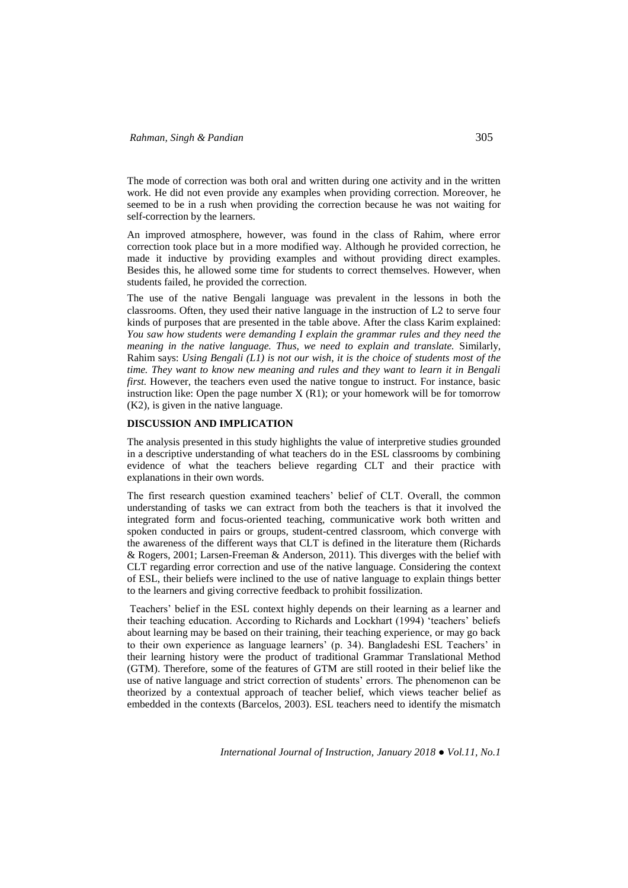The mode of correction was both oral and written during one activity and in the written work. He did not even provide any examples when providing correction. Moreover, he seemed to be in a rush when providing the correction because he was not waiting for self-correction by the learners.

An improved atmosphere, however, was found in the class of Rahim, where error correction took place but in a more modified way. Although he provided correction, he made it inductive by providing examples and without providing direct examples. Besides this, he allowed some time for students to correct themselves. However, when students failed, he provided the correction.

The use of the native Bengali language was prevalent in the lessons in both the classrooms. Often, they used their native language in the instruction of L2 to serve four kinds of purposes that are presented in the table above. After the class Karim explained: *You saw how students were demanding I explain the grammar rules and they need the meaning in the native language. Thus, we need to explain and translate.* Similarly, Rahim says: *Using Bengali (L1) is not our wish, it is the choice of students most of the time. They want to know new meaning and rules and they want to learn it in Bengali first.* However, the teachers even used the native tongue to instruct. For instance, basic instruction like: Open the page number  $X(R1)$ ; or your homework will be for tomorrow (K2), is given in the native language.

# **DISCUSSION AND IMPLICATION**

The analysis presented in this study highlights the value of interpretive studies grounded in a descriptive understanding of what teachers do in the ESL classrooms by combining evidence of what the teachers believe regarding CLT and their practice with explanations in their own words.

The first research question examined teachers' belief of CLT. Overall, the common understanding of tasks we can extract from both the teachers is that it involved the integrated form and focus-oriented teaching, communicative work both written and spoken conducted in pairs or groups, student-centred classroom, which converge with the awareness of the different ways that CLT is defined in the literature them (Richards & Rogers, 2001; Larsen-Freeman & Anderson, 2011). This diverges with the belief with CLT regarding error correction and use of the native language. Considering the context of ESL, their beliefs were inclined to the use of native language to explain things better to the learners and giving corrective feedback to prohibit fossilization.

Teachers' belief in the ESL context highly depends on their learning as a learner and their teaching education. According to Richards and Lockhart (1994) 'teachers' beliefs about learning may be based on their training, their teaching experience, or may go back to their own experience as language learners' (p. 34). Bangladeshi ESL Teachers' in their learning history were the product of traditional Grammar Translational Method (GTM). Therefore, some of the features of GTM are still rooted in their belief like the use of native language and strict correction of students' errors. The phenomenon can be theorized by a contextual approach of teacher belief, which views teacher belief as embedded in the contexts (Barcelos, 2003). ESL teachers need to identify the mismatch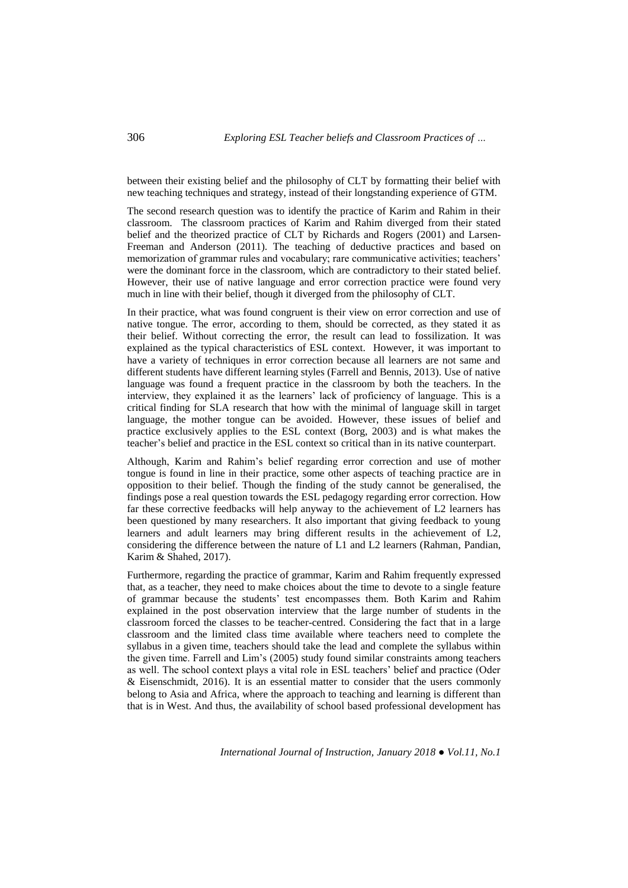between their existing belief and the philosophy of CLT by formatting their belief with new teaching techniques and strategy, instead of their longstanding experience of GTM.

The second research question was to identify the practice of Karim and Rahim in their classroom. The classroom practices of Karim and Rahim diverged from their stated belief and the theorized practice of CLT by Richards and Rogers (2001) and Larsen-Freeman and Anderson (2011). The teaching of deductive practices and based on memorization of grammar rules and vocabulary; rare communicative activities; teachers' were the dominant force in the classroom, which are contradictory to their stated belief. However, their use of native language and error correction practice were found very much in line with their belief, though it diverged from the philosophy of CLT.

In their practice, what was found congruent is their view on error correction and use of native tongue. The error, according to them, should be corrected, as they stated it as their belief. Without correcting the error, the result can lead to fossilization. It was explained as the typical characteristics of ESL context. However, it was important to have a variety of techniques in error correction because all learners are not same and different students have different learning styles (Farrell and Bennis, 2013). Use of native language was found a frequent practice in the classroom by both the teachers. In the interview, they explained it as the learners' lack of proficiency of language. This is a critical finding for SLA research that how with the minimal of language skill in target language, the mother tongue can be avoided. However, these issues of belief and practice exclusively applies to the ESL context (Borg, 2003) and is what makes the teacher's belief and practice in the ESL context so critical than in its native counterpart.

Although, Karim and Rahim's belief regarding error correction and use of mother tongue is found in line in their practice, some other aspects of teaching practice are in opposition to their belief. Though the finding of the study cannot be generalised, the findings pose a real question towards the ESL pedagogy regarding error correction. How far these corrective feedbacks will help anyway to the achievement of L2 learners has been questioned by many researchers. It also important that giving feedback to young learners and adult learners may bring different results in the achievement of L2, considering the difference between the nature of L1 and L2 learners (Rahman, Pandian, Karim & Shahed, 2017).

Furthermore, regarding the practice of grammar, Karim and Rahim frequently expressed that, as a teacher, they need to make choices about the time to devote to a single feature of grammar because the students' test encompasses them. Both Karim and Rahim explained in the post observation interview that the large number of students in the classroom forced the classes to be teacher-centred. Considering the fact that in a large classroom and the limited class time available where teachers need to complete the syllabus in a given time, teachers should take the lead and complete the syllabus within the given time. Farrell and Lim's (2005) study found similar constraints among teachers as well. The school context plays a vital role in ESL teachers' belief and practice (Oder & Eisenschmidt, 2016). It is an essential matter to consider that the users commonly belong to Asia and Africa, where the approach to teaching and learning is different than that is in West. And thus, the availability of school based professional development has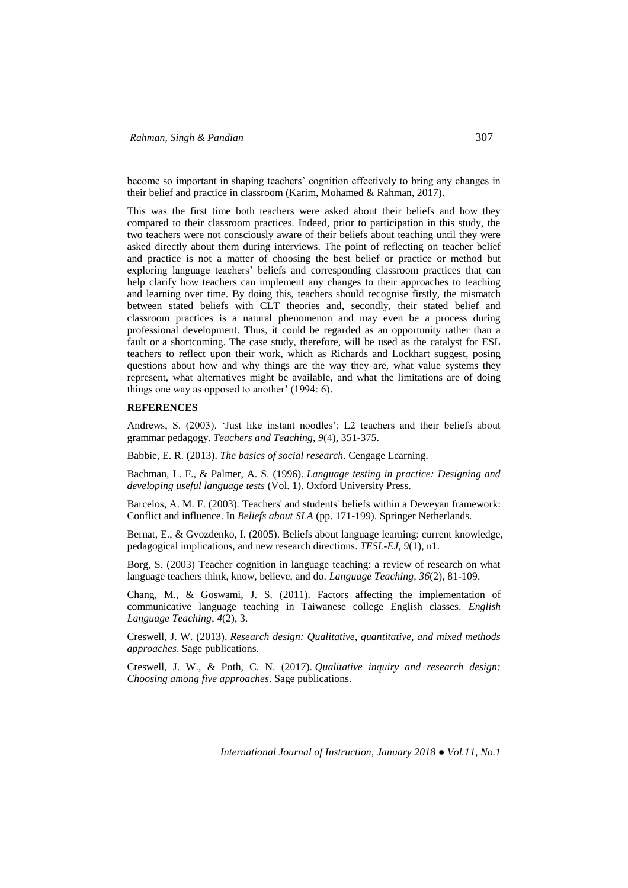become so important in shaping teachers' cognition effectively to bring any changes in their belief and practice in classroom (Karim, Mohamed & Rahman, 2017).

This was the first time both teachers were asked about their beliefs and how they compared to their classroom practices. Indeed, prior to participation in this study, the two teachers were not consciously aware of their beliefs about teaching until they were asked directly about them during interviews. The point of reflecting on teacher belief and practice is not a matter of choosing the best belief or practice or method but exploring language teachers' beliefs and corresponding classroom practices that can help clarify how teachers can implement any changes to their approaches to teaching and learning over time. By doing this, teachers should recognise firstly, the mismatch between stated beliefs with CLT theories and, secondly, their stated belief and classroom practices is a natural phenomenon and may even be a process during professional development. Thus, it could be regarded as an opportunity rather than a fault or a shortcoming. The case study, therefore, will be used as the catalyst for ESL teachers to reflect upon their work, which as Richards and Lockhart suggest, posing questions about how and why things are the way they are, what value systems they represent, what alternatives might be available, and what the limitations are of doing things one way as opposed to another' (1994: 6).

### **REFERENCES**

Andrews, S. (2003). 'Just like instant noodles': L2 teachers and their beliefs about grammar pedagogy. *Teachers and Teaching*, *9*(4), 351-375.

Babbie, E. R. (2013). *The basics of social research*. Cengage Learning.

Bachman, L. F., & Palmer, A. S. (1996). *Language testing in practice: Designing and developing useful language tests* (Vol. 1). Oxford University Press.

Barcelos, A. M. F. (2003). Teachers' and students' beliefs within a Deweyan framework: Conflict and influence. In *Beliefs about SLA* (pp. 171-199). Springer Netherlands.

Bernat, E., & Gvozdenko, I. (2005). Beliefs about language learning: current knowledge, pedagogical implications, and new research directions. *TESL-EJ*, *9*(1), n1.

Borg, S. (2003) Teacher cognition in language teaching: a review of research on what language teachers think, know, believe, and do. *Language Teaching, 36*(2), 81-109.

Chang, M., & Goswami, J. S. (2011). Factors affecting the implementation of communicative language teaching in Taiwanese college English classes. *English Language Teaching*, *4*(2), 3.

Creswell, J. W. (2013). *Research design: Qualitative, quantitative, and mixed methods approaches*. Sage publications.

Creswell, J. W., & Poth, C. N. (2017). *Qualitative inquiry and research design: Choosing among five approaches*. Sage publications.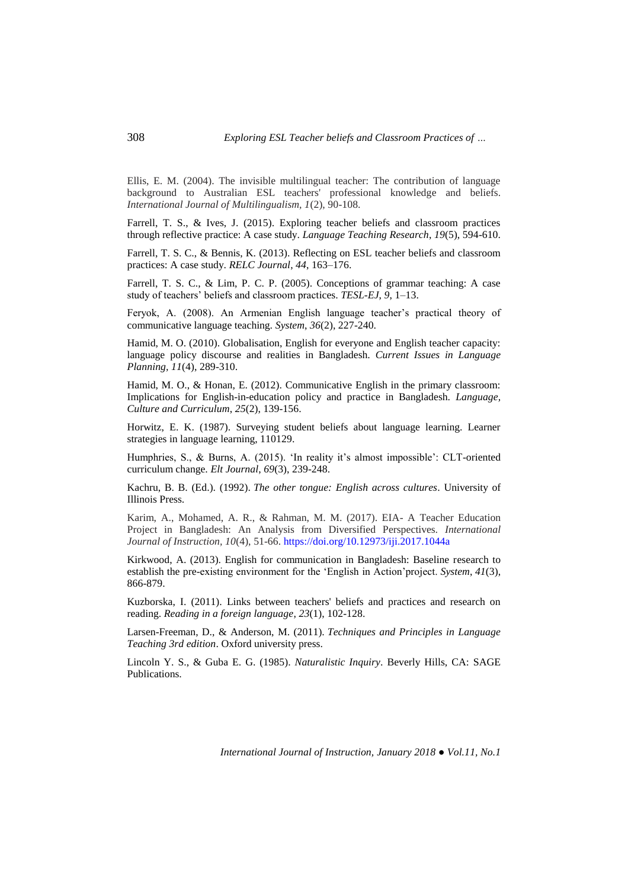Ellis, E. M. (2004). The invisible multilingual teacher: The contribution of language background to Australian ESL teachers' professional knowledge and beliefs. *International Journal of Multilingualism, 1*(2), 90-108.

Farrell, T. S., & Ives, J. (2015). Exploring teacher beliefs and classroom practices through reflective practice: A case study. *Language Teaching Research*, *19*(5), 594-610.

Farrell, T. S. C., & Bennis, K. (2013). Reflecting on ESL teacher beliefs and classroom practices: A case study. *RELC Journal*, *44*, 163–176.

Farrell, T. S. C., & Lim, P. C. P. (2005). Conceptions of grammar teaching: A case study of teachers' beliefs and classroom practices. *TESL-EJ*, *9*, 1–13.

Feryok, A. (2008). An Armenian English language teacher's practical theory of communicative language teaching. *System*, *36*(2), 227-240.

Hamid, M. O. (2010). Globalisation, English for everyone and English teacher capacity: language policy discourse and realities in Bangladesh. *Current Issues in Language Planning, 11*(4), 289-310.

Hamid, M. O., & Honan, E. (2012). Communicative English in the primary classroom: Implications for English-in-education policy and practice in Bangladesh. *Language, Culture and Curriculum*, *25*(2), 139-156.

Horwitz, E. K. (1987). Surveying student beliefs about language learning. Learner strategies in language learning, 110129.

Humphries, S., & Burns, A. (2015). 'In reality it's almost impossible': CLT-oriented curriculum change. *Elt Journal*, *69*(3), 239-248.

Kachru, B. B. (Ed.). (1992). *The other tongue: English across cultures*. University of Illinois Press.

Karim, A., Mohamed, A. R., & Rahman, M. M. (2017). EIA- A Teacher Education Project in Bangladesh: An Analysis from Diversified Perspectives*. International Journal of Instruction, 10*(4), 51-66.<https://doi.org/10.12973/iji.2017.1044a>

Kirkwood, A. (2013). English for communication in Bangladesh: Baseline research to establish the pre-existing environment for the 'English in Action'project. *System*, *41*(3), 866-879.

Kuzborska, I. (2011). Links between teachers' beliefs and practices and research on reading. *Reading in a foreign language*, *23*(1), 102-128.

Larsen-Freeman, D., & Anderson, M. (2011). *Techniques and Principles in Language Teaching 3rd edition*. Oxford university press.

Lincoln Y. S., & Guba E. G. (1985). *Naturalistic Inquiry*. Beverly Hills, CA: SAGE Publications.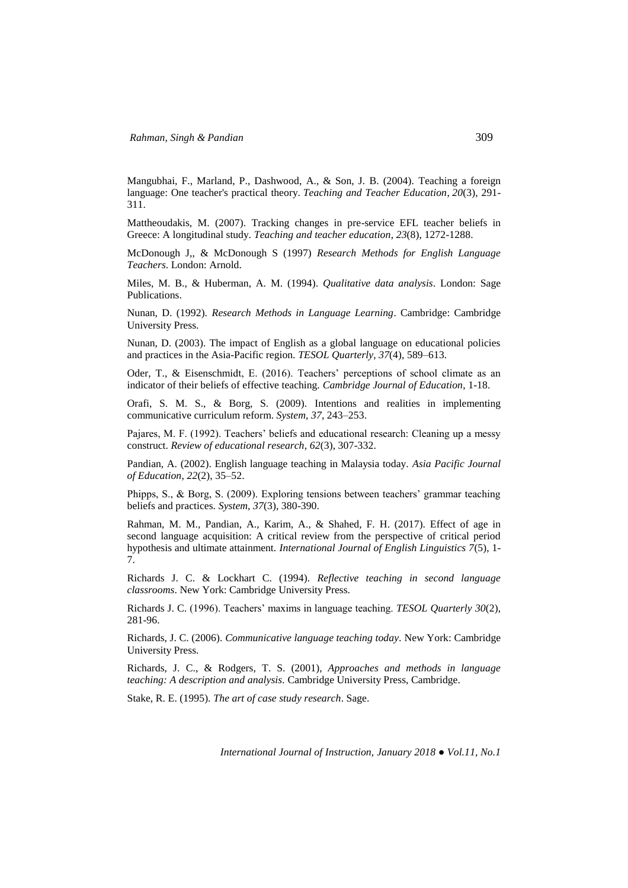Mangubhai, F., Marland, P., Dashwood, A., & Son, J. B. (2004). Teaching a foreign language: One teacher's practical theory. *Teaching and Teacher Education*, *20*(3), 291- 311.

Mattheoudakis, M. (2007). Tracking changes in pre-service EFL teacher beliefs in Greece: A longitudinal study. *Teaching and teacher education*, *23*(8), 1272-1288.

McDonough J,, & McDonough S (1997) *Research Methods for English Language Teachers*. London: Arnold.

Miles, M. B., & Huberman, A. M. (1994). *Qualitative data analysis*. London: Sage Publications.

Nunan, D. (1992). *Research Methods in Language Learning*. Cambridge: Cambridge University Press.

Nunan, D. (2003). The impact of English as a global language on educational policies and practices in the Asia-Pacific region. *TESOL Quarterly*, *37*(4), 589–613.

Oder, T., & Eisenschmidt, E. (2016). Teachers' perceptions of school climate as an indicator of their beliefs of effective teaching. *Cambridge Journal of Education*, 1-18.

Orafi, S. M. S., & Borg, S. (2009). Intentions and realities in implementing communicative curriculum reform. *System*, *37*, 243–253.

Pajares, M. F. (1992). Teachers' beliefs and educational research: Cleaning up a messy construct. *Review of educational research*, *62*(3), 307-332.

Pandian, A. (2002). English language teaching in Malaysia today. *Asia Pacific Journal of Education*, *22*(2), 35–52.

Phipps, S., & Borg, S. (2009). Exploring tensions between teachers' grammar teaching beliefs and practices. *System*, *37*(3), 380-390.

Rahman, M. M., Pandian, A., Karim, A., & Shahed, F. H. (2017). Effect of age in second language acquisition: A critical review from the perspective of critical period hypothesis and ultimate attainment. *International Journal of English Linguistics 7*(5), 1- 7.

Richards J. C. & Lockhart C. (1994). *Reflective teaching in second language classrooms*. New York: Cambridge University Press.

Richards J. C. (1996). Teachers' maxims in language teaching. *TESOL Quarterly 30*(2), 281-96.

Richards, J. C. (2006). *Communicative language teaching today.* New York: Cambridge University Press.

Richards, J. C., & Rodgers, T. S. (2001), *Approaches and methods in language teaching: A description and analysis.* Cambridge University Press, Cambridge.

Stake, R. E. (1995). *The art of case study research*. Sage.